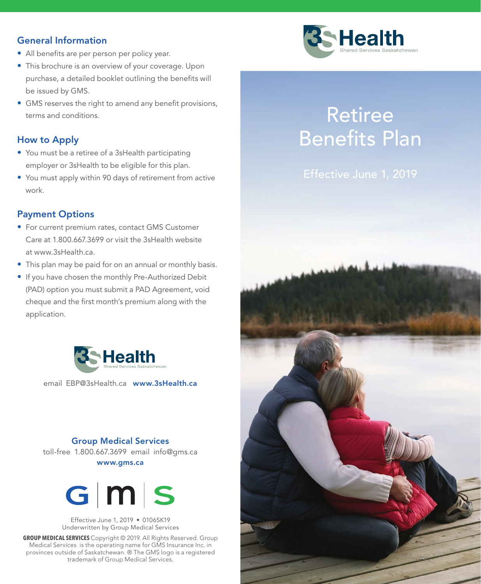### General Information

- All benefits are per person per policy year.
- This brochure is an overview of your coverage. Upon purchase, a detailed booklet outlining the benefits will be issued by GMS.
- GMS reserves the right to amend any benefit provisions, terms and conditions.

### How to Apply

- You must be a retiree of a 3sHealth participating employer or 3sHealth to be eligible for this plan.
- You must apply within 90 days of retirement from active work.

### Payment Options

- For current premium rates, contact GMS Customer Care at 1.800.667.3699 or visit the 3sHealth website at www.3sHealth.ca.
- This plan may be paid for on an annual or monthly basis.
- If you have chosen the monthly Pre-Authorized Debit (PAD) option you must submit a PAD Agreement, void cheque and the first month's premium along with the application.



email EBP@3sHealth.ca www.3sHealth.ca

### Group Medical Services toll-free 1.800.667.3699 email info@gms.ca www.gms.ca



Effective June 1, 2019 • 0106SK19 Underwritten by Group Medical Services

**GROUP MEDICAL SERVICES** Copyright © 2019. All Rights Reserved. Group Medical Services is the operating name for GMS Insurance Inc. in provinces outside of Saskatchewan. ® The GMS logo is a registered trademark of Group Medical Services.



# Retiree Benefits Plan